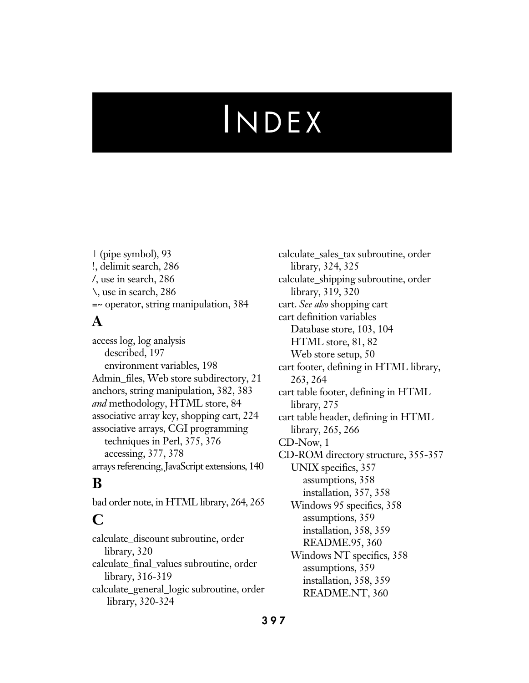| (pipe symbol), 93 !, delimit search, 286 /, use in search, 286 \, use in search, 286 =~ operator, string manipulation, 384

#### **A**

access log, log analysis described, 197 environment variables, 198 Admin\_files, Web store subdirectory, 21 anchors, string manipulation, 382, 383 *and* methodology, HTML store, 84 associative array key, shopping cart, 224 associative arrays, CGI programming techniques in Perl, 375, 376 accessing, 377, 378 arrays referencing, JavaScript extensions, 140

## **B**

bad order note, in HTML library, 264, 265

## **C**

calculate\_discount subroutine, order library, 320 calculate\_final\_values subroutine, order library, 316-319 calculate\_general\_logic subroutine, order library, 320-324

calculate\_sales\_tax subroutine, order library, 324, 325 calculate\_shipping subroutine, order library, 319, 320 cart. *See also* shopping cart cart definition variables Database store, 103, 104 HTML store, 81, 82 Web store setup, 50 cart footer, defining in HTML library, 263, 264 cart table footer, defining in HTML library, 275 cart table header, defining in HTML library, 265, 266 CD-Now, 1 CD-ROM directory structure, 355-357 UNIX specifics, 357 assumptions, 358 installation, 357, 358 Windows 95 specifics, 358 assumptions, 359 installation, 358, 359 README.95, 360 Windows NT specifics, 358 assumptions, 359 installation, 358, 359 README.NT, 360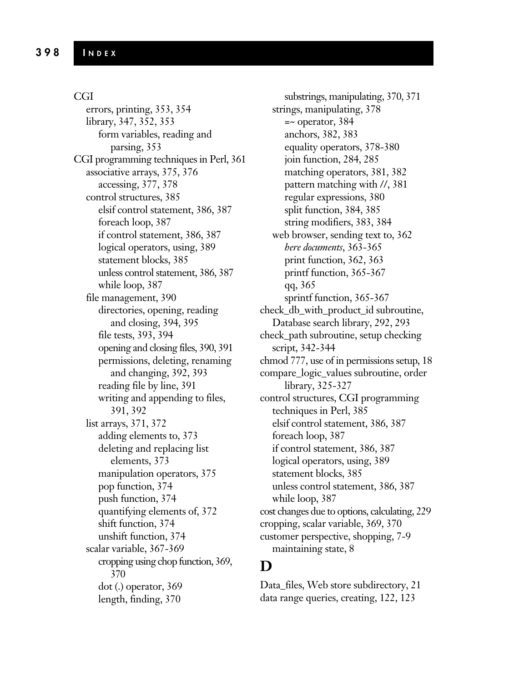#### CGI

errors, printing, 353, 354 library, 347, 352, 353 form variables, reading and parsing, 353 CGI programming techniques in Perl, 361 associative arrays, 375, 376 accessing, 377, 378 control structures, 385 elsif control statement, 386, 387 foreach loop, 387 if control statement, 386, 387 logical operators, using, 389 statement blocks, 385 unless control statement, 386, 387 while loop, 387 file management, 390 directories, opening, reading and closing, 394, 395 file tests, 393, 394 opening and closing files, 390, 391 permissions, deleting, renaming and changing, 392, 393 reading file by line, 391 writing and appending to files, 391, 392 list arrays, 371, 372 adding elements to, 373 deleting and replacing list elements, 373 manipulation operators, 375 pop function, 374 push function, 374 quantifying elements of, 372 shift function, 374 unshift function, 374 scalar variable, 367-369 cropping using chop function, 369, 370 dot (.) operator, 369 length, finding, 370

substrings, manipulating, 370, 371 strings, manipulating, 378  $=$  operator, 384 anchors, 382, 383 equality operators, 378-380 join function, 284, 285 matching operators, 381, 382 pattern matching with //, 381 regular expressions, 380 split function, 384, 385 string modifiers, 383, 384 web browser, sending text to, 362 *here documents*, 363-365 print function, 362, 363 printf function, 365-367 qq, 365 sprintf function, 365-367 check\_db\_with\_product\_id subroutine, Database search library, 292, 293 check\_path subroutine, setup checking script, 342-344 chmod 777, use of in permissions setup, 18 compare\_logic\_values subroutine, order library, 325-327 control structures, CGI programming techniques in Perl, 385 elsif control statement, 386, 387 foreach loop, 387 if control statement, 386, 387 logical operators, using, 389 statement blocks, 385 unless control statement, 386, 387 while loop, 387 cost changes due to options, calculating, 229 cropping, scalar variable, 369, 370 customer perspective, shopping, 7-9 maintaining state, 8

#### **D**

Data\_files, Web store subdirectory, 21 data range queries, creating, 122, 123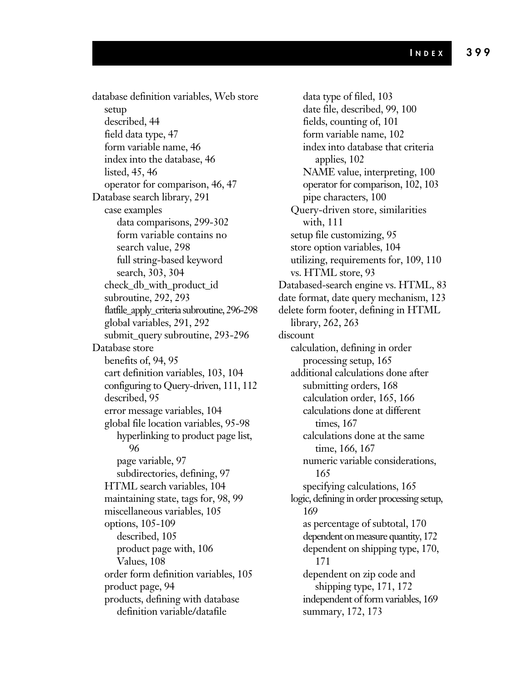database definition variables, Web store setup described, 44 field data type, 47 form variable name, 46 index into the database, 46 listed, 45, 46 operator for comparison, 46, 47 Database search library, 291 case examples data comparisons, 299-302 form variable contains no search value, 298 full string-based keyword search, 303, 304 check\_db\_with\_product\_id subroutine, 292, 293 flatfile\_apply\_criteria subroutine, 296-298 global variables, 291, 292 submit\_query subroutine, 293-296 Database store benefits of, 94, 95 cart definition variables, 103, 104 configuring to Query-driven, 111, 112 described, 95 error message variables, 104 global file location variables, 95-98 hyperlinking to product page list, 96 page variable, 97 subdirectories, defining, 97 HTML search variables, 104 maintaining state, tags for, 98, 99 miscellaneous variables, 105 options, 105-109 described, 105 product page with, 106 Values, 108 order form definition variables, 105 product page, 94 products, defining with database definition variable/datafile

data type of filed, 103 date file, described, 99, 100 fields, counting of, 101 form variable name, 102 index into database that criteria applies, 102 NAME value, interpreting, 100 operator for comparison, 102, 103 pipe characters, 100 Query-driven store, similarities with, 111 setup file customizing, 95 store option variables, 104 utilizing, requirements for, 109, 110 vs. HTML store, 93 Databased-search engine vs. HTML, 83 date format, date query mechanism, 123 delete form footer, defining in HTML library, 262, 263 discount calculation, defining in order processing setup, 165 additional calculations done after submitting orders, 168 calculation order, 165, 166 calculations done at different times, 167 calculations done at the same time, 166, 167 numeric variable considerations, 165 specifying calculations, 165 logic, defining in order processing setup, 169 as percentage of subtotal, 170 dependent on measure quantity, 172 dependent on shipping type, 170, 171 dependent on zip code and shipping type, 171, 172 independent of form variables, 169 summary, 172, 173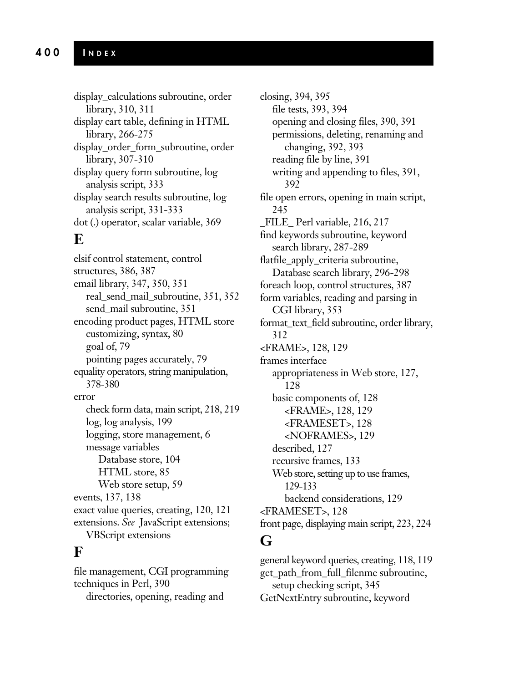display\_calculations subroutine, order library, 310, 311 display cart table, defining in HTML library, 266-275 display\_order\_form\_subroutine, order library, 307-310 display query form subroutine, log analysis script, 333 display search results subroutine, log analysis script, 331-333 dot (.) operator, scalar variable, 369

#### **E**

elsif control statement, control structures, 386, 387 email library, 347, 350, 351 real\_send\_mail\_subroutine, 351, 352 send\_mail subroutine, 351 encoding product pages, HTML store customizing, syntax, 80 goal of, 79 pointing pages accurately, 79 equality operators, string manipulation, 378-380 error check form data, main script, 218, 219 log, log analysis, 199 logging, store management, 6 message variables Database store, 104 HTML store, 85 Web store setup, 59 events, 137, 138 exact value queries, creating, 120, 121 extensions. *See* JavaScript extensions; VBScript extensions

#### **F**

file management, CGI programming techniques in Perl, 390 directories, opening, reading and

closing, 394, 395 file tests, 393, 394 opening and closing files, 390, 391 permissions, deleting, renaming and changing, 392, 393 reading file by line, 391 writing and appending to files, 391, 392 file open errors, opening in main script, 245 \_FILE\_ Perl variable, 216, 217 find keywords subroutine, keyword search library, 287-289 flatfile\_apply\_criteria subroutine, Database search library, 296-298 foreach loop, control structures, 387 form variables, reading and parsing in CGI library, 353 format\_text\_field subroutine, order library, 312 <FRAME>, 128, 129 frames interface appropriateness in Web store, 127, 128 basic components of, 128 <FRAME>, 128, 129 <FRAMESET>, 128 <NOFRAMES>, 129 described, 127 recursive frames, 133 Web store, setting up to use frames, 129-133 backend considerations, 129 <FRAMESET>, 128 front page, displaying main script, 223, 224

## **G**

general keyword queries, creating, 118, 119 get\_path\_from\_full\_filenme subroutine, setup checking script, 345 GetNextEntry subroutine, keyword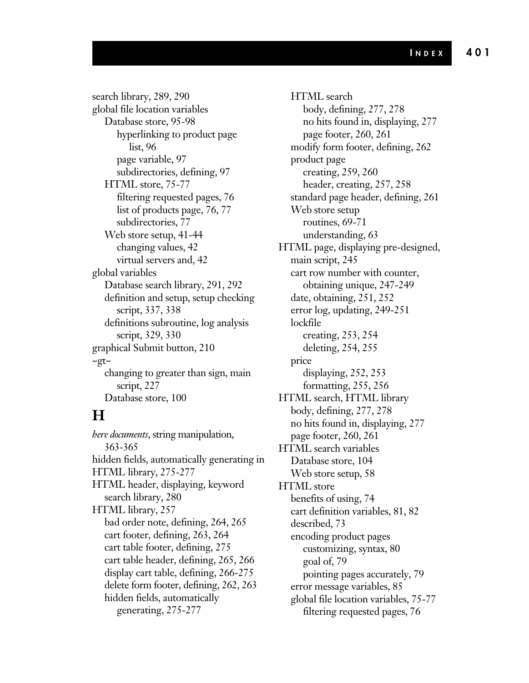search library, 289, 290 global file location variables Database store, 95-98 hyperlinking to product page list, 96 page variable, 97 subdirectories, defining, 97 HTML store, 75-77 filtering requested pages, 76 list of products page, 76, 77 subdirectories, 77 Web store setup, 41-44 changing values, 42 virtual servers and, 42 global variables Database search library, 291, 292 definition and setup, setup checking script, 337, 338 definitions subroutine, log analysis script, 329, 330 graphical Submit button, 210 ~gt~ changing to greater than sign, main script, 227 Database store, 100

## **H**

*here documents*, string manipulation, 363-365 hidden fields, automatically generating in HTML library, 275-277 HTML header, displaying, keyword search library, 280 HTML library, 257 bad order note, defining, 264, 265 cart footer, defining, 263, 264 cart table footer, defining, 275 cart table header, defining, 265, 266 display cart table, defining, 266-275 delete form footer, defining, 262, 263 hidden fields, automatically generating, 275-277

HTML search body, defining, 277, 278 no hits found in, displaying, 277 page footer, 260, 261 modify form footer, defining, 262 product page creating, 259, 260 header, creating, 257, 258 standard page header, defining, 261 Web store setup routines, 69-71 understanding, 63 HTML page, displaying pre-designed, main script, 245 cart row number with counter, obtaining unique, 247-249 date, obtaining, 251, 252 error log, updating, 249-251 lockfile creating, 253, 254 deleting, 254, 255 price displaying, 252, 253 formatting, 255, 256 HTML search, HTML library body, defining, 277, 278 no hits found in, displaying, 277 page footer, 260, 261 HTML search variables Database store, 104 Web store setup, 58 HTML store benefits of using, 74 cart definition variables, 81, 82 described, 73 encoding product pages customizing, syntax, 80 goal of, 79 pointing pages accurately, 79 error message variables, 85 global file location variables, 75-77 filtering requested pages, 76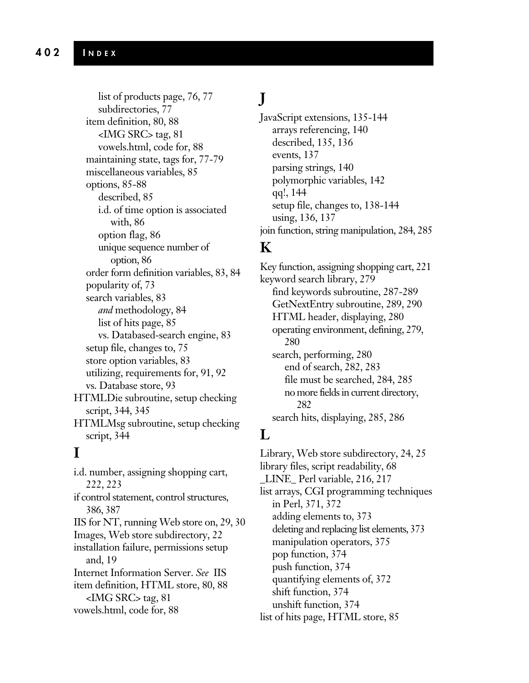list of products page, 76, 77 subdirectories, 77 item definition, 80, 88 <IMG SRC> tag, 81 vowels.html, code for, 88 maintaining state, tags for, 77-79 miscellaneous variables, 85 options, 85-88 described, 85 i.d. of time option is associated with, 86 option flag, 86 unique sequence number of option, 86 order form definition variables, 83, 84 popularity of, 73 search variables, 83 *and* methodology, 84 list of hits page, 85 vs. Databased-search engine, 83 setup file, changes to, 75 store option variables, 83 utilizing, requirements for, 91, 92 vs. Database store, 93 HTMLDie subroutine, setup checking script, 344, 345 HTMLMsg subroutine, setup checking script, 344

## **I**

i.d. number, assigning shopping cart, 222, 223 if control statement, control structures, 386, 387 IIS for NT, running Web store on, 29, 30 Images, Web store subdirectory, 22 installation failure, permissions setup and, 19 Internet Information Server. *See* IIS item definition, HTML store, 80, 88 <IMG SRC> tag, 81 vowels.html, code for, 88

# **J**

JavaScript extensions, 135-144 arrays referencing, 140 described, 135, 136 events, 137 parsing strings, 140 polymorphic variables, 142 qq!, 144 setup file, changes to, 138-144 using, 136, 137 join function, string manipulation, 284, 285

## **K**

Key function, assigning shopping cart, 221 keyword search library, 279 find keywords subroutine, 287-289 GetNextEntry subroutine, 289, 290 HTML header, displaying, 280 operating environment, defining, 279, 280 search, performing, 280 end of search, 282, 283 file must be searched, 284, 285 no more fields in current directory, 282 search hits, displaying, 285, 286

# **L**

Library, Web store subdirectory, 24, 25 library files, script readability, 68 \_LINE\_ Perl variable, 216, 217 list arrays, CGI programming techniques in Perl, 371, 372 adding elements to, 373 deleting and replacing list elements, 373 manipulation operators, 375 pop function, 374 push function, 374 quantifying elements of, 372 shift function, 374 unshift function, 374 list of hits page, HTML store, 85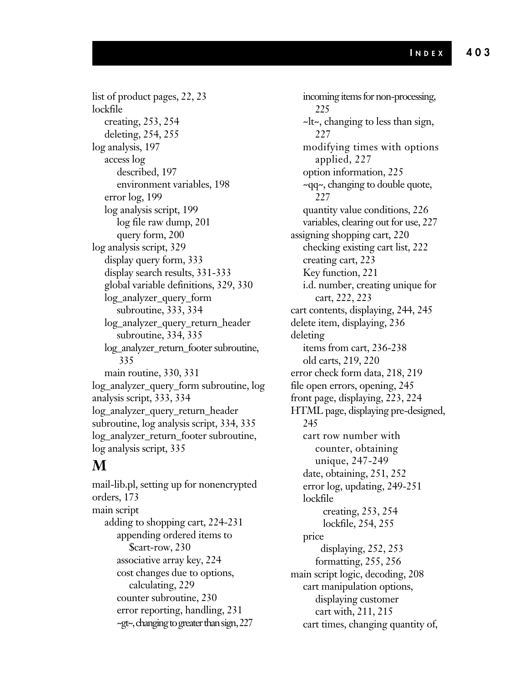list of product pages, 22, 23 lockfile creating, 253, 254 deleting, 254, 255 log analysis, 197 access log described, 197 environment variables, 198 error log, 199 log analysis script, 199 log file raw dump, 201 query form, 200 log analysis script, 329 display query form, 333 display search results, 331-333 global variable definitions, 329, 330 log\_analyzer\_query\_form subroutine, 333, 334 log\_analyzer\_query\_return\_header subroutine, 334, 335 log\_analyzer\_return\_footer subroutine, 335 main routine, 330, 331 log\_analyzer\_query\_form subroutine, log analysis script, 333, 334 log\_analyzer\_query\_return\_header subroutine, log analysis script, 334, 335 log\_analyzer\_return\_footer subroutine, log analysis script, 335

## **M**

mail-lib.pl, setting up for nonencrypted orders, 173 main script adding to shopping cart, 224-231 appending ordered items to \$cart-row, 230 associative array key, 224 cost changes due to options, calculating, 229 counter subroutine, 230 error reporting, handling, 231 ~gt~, changing to greater than sign, 227

incoming items for non-processing, 225 ~lt~, changing to less than sign, 227 modifying times with options applied, 227 option information, 225 ~qq~, changing to double quote, 227 quantity value conditions, 226 variables, clearing out for use, 227 assigning shopping cart, 220 checking existing cart list, 222 creating cart, 223 Key function, 221 i.d. number, creating unique for cart, 222, 223 cart contents, displaying, 244, 245 delete item, displaying, 236 deleting items from cart, 236-238 old carts, 219, 220 error check form data, 218, 219 file open errors, opening, 245 front page, displaying, 223, 224 HTML page, displaying pre-designed, 245 cart row number with counter, obtaining unique, 247-249 date, obtaining, 251, 252 error log, updating, 249-251 lockfile creating, 253, 254 lockfile, 254, 255 price displaying, 252, 253 formatting, 255, 256 main script logic, decoding, 208 cart manipulation options, displaying customer cart with, 211, 215 cart times, changing quantity of,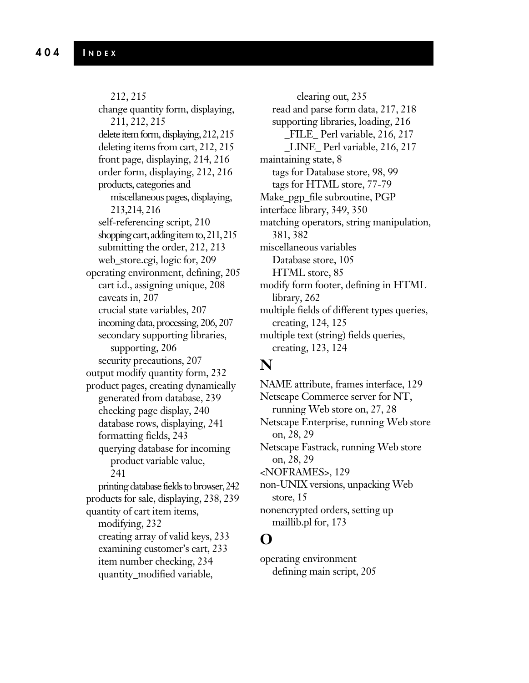212, 215 change quantity form, displaying, 211, 212, 215 delete item form, displaying, 212, 215 deleting items from cart, 212, 215 front page, displaying, 214, 216 order form, displaying, 212, 216 products, categories and miscellaneous pages, displaying, 213,214, 216 self-referencing script, 210 shopping cart, adding item to,  $211, 215$ submitting the order, 212, 213 web\_store.cgi, logic for, 209 operating environment, defining, 205 cart i.d., assigning unique, 208 caveats in, 207 crucial state variables, 207 incoming data, processing, 206, 207 secondary supporting libraries, supporting, 206 security precautions, 207 output modify quantity form, 232 product pages, creating dynamically generated from database, 239 checking page display, 240 database rows, displaying, 241 formatting fields, 243 querying database for incoming product variable value, 241 printing database fields to browser, 242 products for sale, displaying, 238, 239 quantity of cart item items, modifying, 232 creating array of valid keys, 233 examining customer's cart, 233 item number checking, 234 quantity\_modified variable,

clearing out, 235 read and parse form data, 217, 218 supporting libraries, loading, 216 \_FILE\_ Perl variable, 216, 217 \_LINE\_ Perl variable, 216, 217 maintaining state, 8 tags for Database store, 98, 99 tags for HTML store, 77-79 Make\_pgp\_file subroutine, PGP interface library, 349, 350 matching operators, string manipulation, 381, 382 miscellaneous variables Database store, 105 HTML store, 85 modify form footer, defining in HTML library, 262 multiple fields of different types queries, creating, 124, 125 multiple text (string) fields queries, creating, 123, 124

#### **N**

NAME attribute, frames interface, 129 Netscape Commerce server for NT, running Web store on, 27, 28 Netscape Enterprise, running Web store on, 28, 29 Netscape Fastrack, running Web store on, 28, 29 <NOFRAMES>, 129 non-UNIX versions, unpacking Web store, 15 nonencrypted orders, setting up maillib.pl for, 173

## **O**

operating environment defining main script, 205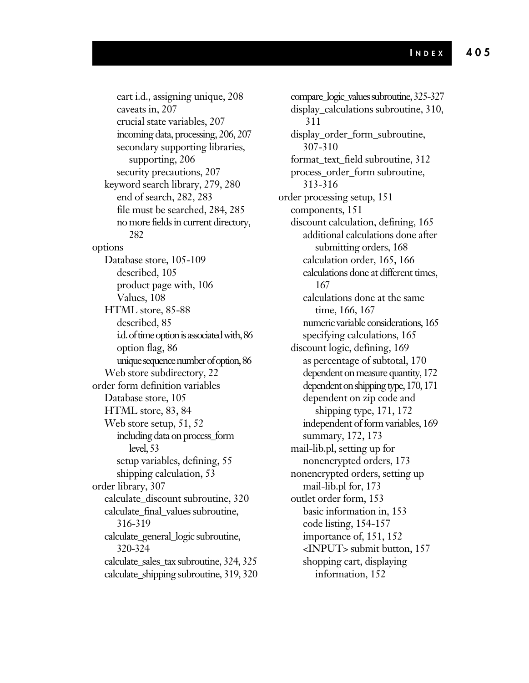cart i.d., assigning unique, 208 caveats in, 207 crucial state variables, 207 incoming data, processing, 206, 207 secondary supporting libraries, supporting, 206 security precautions, 207 keyword search library, 279, 280 end of search, 282, 283 file must be searched, 284, 285 no more fields in current directory, 282 options Database store, 105-109 described, 105 product page with, 106 Values, 108 HTML store, 85-88 described, 85 i.d. of time option is associated with, 86 option flag, 86 unique sequence number of option, 86 Web store subdirectory, 22 order form definition variables Database store, 105 HTML store, 83, 84 Web store setup, 51, 52 including data on process\_form level, 53 setup variables, defining, 55 shipping calculation, 53 order library, 307 calculate\_discount subroutine, 320 calculate\_final\_values subroutine, 316-319 calculate\_general\_logic subroutine, 320-324 calculate\_sales\_tax subroutine, 324, 325 calculate\_shipping subroutine, 319, 320

compare\_logic\_values subroutine, 325-327 display\_calculations subroutine, 310, 311 display\_order\_form\_subroutine, 307-310 format\_text\_field subroutine, 312 process\_order\_form subroutine, 313-316 order processing setup, 151 components, 151 discount calculation, defining, 165 additional calculations done after submitting orders, 168 calculation order, 165, 166 calculations done at different times, 167 calculations done at the same time, 166, 167 numeric variable considerations, 165 specifying calculations, 165 discount logic, defining, 169 as percentage of subtotal, 170 dependent on measure quantity, 172 dependent on shipping type, 170, 171 dependent on zip code and shipping type, 171, 172 independent of form variables, 169 summary, 172, 173 mail-lib.pl, setting up for nonencrypted orders, 173 nonencrypted orders, setting up mail-lib.pl for, 173 outlet order form, 153 basic information in, 153 code listing, 154-157 importance of, 151, 152 <INPUT> submit button, 157 shopping cart, displaying information, 152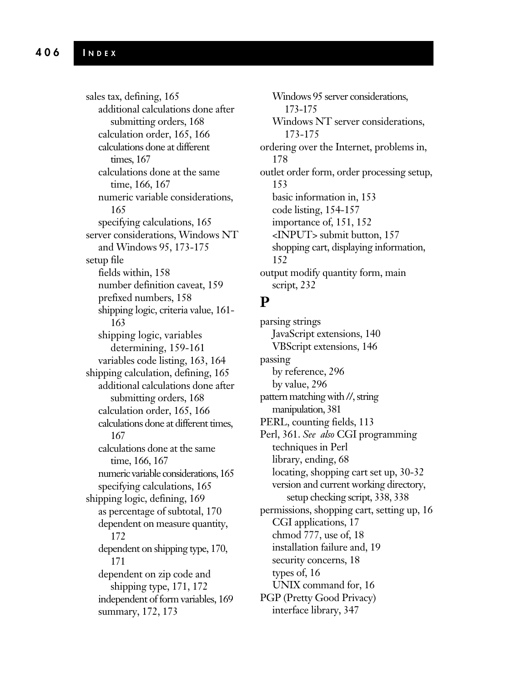sales tax, defining, 165 additional calculations done after submitting orders, 168 calculation order, 165, 166 calculations done at different times, 167 calculations done at the same time, 166, 167 numeric variable considerations, 165 specifying calculations, 165 server considerations, Windows NT and Windows 95, 173-175 setup file fields within, 158 number definition caveat, 159 prefixed numbers, 158 shipping logic, criteria value, 161- 163 shipping logic, variables determining, 159-161 variables code listing, 163, 164 shipping calculation, defining, 165 additional calculations done after submitting orders, 168 calculation order, 165, 166 calculations done at different times, 167 calculations done at the same time, 166, 167 numeric variable considerations, 165 specifying calculations, 165 shipping logic, defining, 169 as percentage of subtotal, 170 dependent on measure quantity, 172 dependent on shipping type, 170, 171 dependent on zip code and shipping type, 171, 172 independent of form variables, 169 summary, 172, 173

Windows 95 server considerations, 173-175 Windows NT server considerations, 173-175 ordering over the Internet, problems in, 178 outlet order form, order processing setup, 153 basic information in, 153 code listing, 154-157 importance of, 151, 152 <INPUT> submit button, 157 shopping cart, displaying information, 152 output modify quantity form, main script, 232

## **P**

parsing strings JavaScript extensions, 140 VBScript extensions, 146 passing by reference, 296 by value, 296 pattern matching with //, string manipulation, 381 PERL, counting fields, 113 Perl, 361. *See also* CGI programming techniques in Perl library, ending, 68 locating, shopping cart set up, 30-32 version and current working directory, setup checking script, 338, 338 permissions, shopping cart, setting up, 16 CGI applications, 17 chmod 777, use of, 18 installation failure and, 19 security concerns, 18 types of, 16 UNIX command for, 16 PGP (Pretty Good Privacy) interface library, 347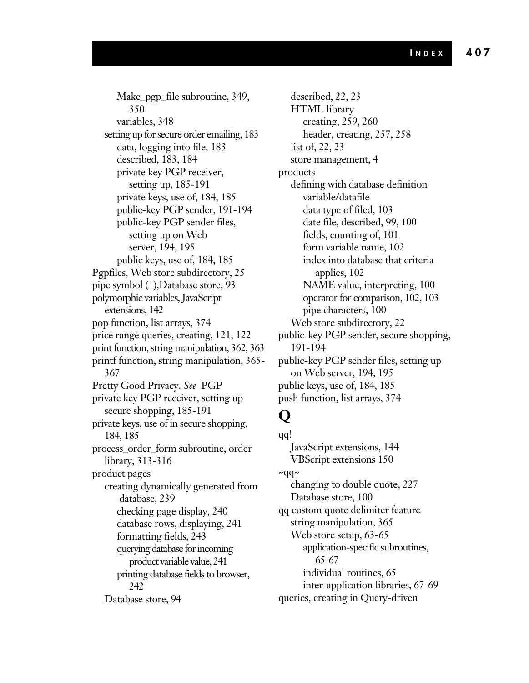Make\_pgp\_file subroutine, 349, 350 variables, 348 setting up for secure order emailing, 183 data, logging into file, 183 described, 183, 184 private key PGP receiver, setting up, 185-191 private keys, use of, 184, 185 public-key PGP sender, 191-194 public-key PGP sender files, setting up on Web server, 194, 195 public keys, use of, 184, 185 Pgpfiles, Web store subdirectory, 25 pipe symbol (|),Database store, 93 polymorphic variables, JavaScript extensions, 142 pop function, list arrays, 374 price range queries, creating, 121, 122 print function, string manipulation, 362, 363 printf function, string manipulation, 365- 367 Pretty Good Privacy. *See* PGP private key PGP receiver, setting up secure shopping, 185-191 private keys, use of in secure shopping, 184, 185 process\_order\_form subroutine, order library, 313-316 product pages creating dynamically generated from database, 239 checking page display, 240 database rows, displaying, 241 formatting fields, 243 querying database for incoming product variable value, 241 printing database fields to browser, 242 Database store, 94

described, 22, 23 HTML library creating, 259, 260 header, creating, 257, 258 list of, 22, 23 store management, 4 products defining with database definition variable/datafile data type of filed, 103 date file, described, 99, 100 fields, counting of, 101 form variable name, 102 index into database that criteria applies, 102 NAME value, interpreting, 100 operator for comparison, 102, 103 pipe characters, 100 Web store subdirectory, 22 public-key PGP sender, secure shopping, 191-194 public-key PGP sender files, setting up on Web server, 194, 195 public keys, use of, 184, 185 push function, list arrays, 374

# **Q**

qq! JavaScript extensions, 144 VBScript extensions 150  $~\sim$ qq $~\sim$ changing to double quote, 227 Database store, 100 qq custom quote delimiter feature string manipulation, 365 Web store setup, 63-65 application-specific subroutines, 65-67 individual routines, 65 inter-application libraries, 67-69 queries, creating in Query-driven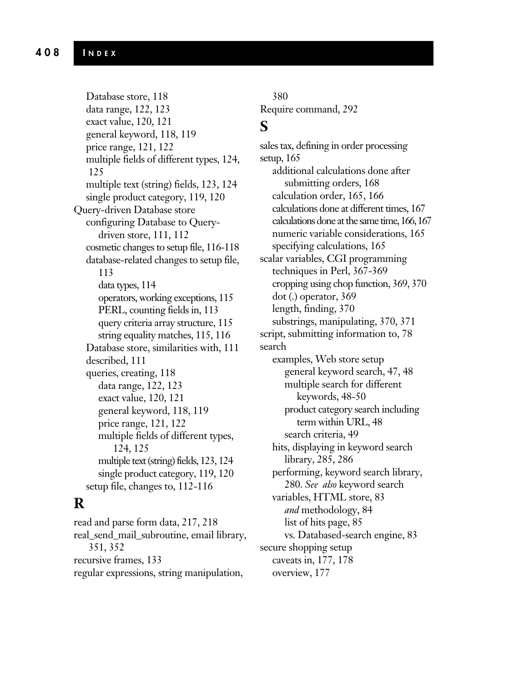Database store, 118 data range, 122, 123 exact value, 120, 121 general keyword, 118, 119 price range, 121, 122 multiple fields of different types, 124, 125 multiple text (string) fields, 123, 124 single product category, 119, 120 Query-driven Database store configuring Database to Querydriven store, 111, 112 cosmetic changes to setup file, 116-118 database-related changes to setup file, 113 data types, 114 operators, working exceptions, 115 PERL, counting fields in, 113 query criteria array structure, 115 string equality matches, 115, 116 Database store, similarities with, 111 described, 111 queries, creating, 118 data range, 122, 123 exact value, 120, 121 general keyword, 118, 119 price range, 121, 122 multiple fields of different types, 124, 125 multiple text (string) fields, 123, 124 single product category, 119, 120 setup file, changes to, 112-116

## **R**

read and parse form data, 217, 218 real\_send\_mail\_subroutine, email library, 351, 352 recursive frames, 133 regular expressions, string manipulation,

380 Require command, 292

#### **S**

sales tax, defining in order processing setup, 165 additional calculations done after submitting orders, 168 calculation order, 165, 166 calculations done at different times, 167 calculations done at the same time, 166, 167 numeric variable considerations, 165 specifying calculations, 165 scalar variables, CGI programming techniques in Perl, 367-369 cropping using chop function, 369, 370 dot (.) operator, 369 length, finding, 370 substrings, manipulating, 370, 371 script, submitting information to, 78 search examples, Web store setup general keyword search, 47, 48 multiple search for different keywords, 48-50 product category search including term within URL, 48 search criteria, 49 hits, displaying in keyword search library, 285, 286 performing, keyword search library, 280. *See also* keyword search variables, HTML store, 83 *and* methodology, 84 list of hits page, 85 vs. Databased-search engine, 83 secure shopping setup caveats in, 177, 178 overview, 177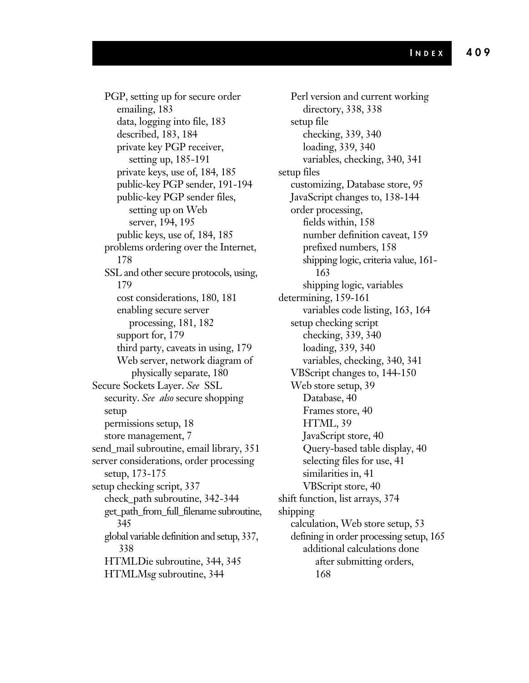PGP, setting up for secure order emailing, 183 data, logging into file, 183 described, 183, 184 private key PGP receiver, setting up, 185-191 private keys, use of, 184, 185 public-key PGP sender, 191-194 public-key PGP sender files, setting up on Web server, 194, 195 public keys, use of, 184, 185 problems ordering over the Internet, 178 SSL and other secure protocols, using, 179 cost considerations, 180, 181 enabling secure server processing, 181, 182 support for, 179 third party, caveats in using, 179 Web server, network diagram of physically separate, 180 Secure Sockets Layer. *See* SSL security. *See also* secure shopping setup permissions setup, 18 store management, 7 send\_mail subroutine, email library, 351 server considerations, order processing setup, 173-175 setup checking script, 337 check\_path subroutine, 342-344 get\_path\_from\_full\_filename subroutine, 345 global variable definition and setup, 337, 338 HTMLDie subroutine, 344, 345 HTMLMsg subroutine, 344

Perl version and current working directory, 338, 338 setup file checking, 339, 340 loading, 339, 340 variables, checking, 340, 341 setup files customizing, Database store, 95 JavaScript changes to, 138-144 order processing, fields within, 158 number definition caveat, 159 prefixed numbers, 158 shipping logic, criteria value, 161- 163 shipping logic, variables determining, 159-161 variables code listing, 163, 164 setup checking script checking, 339, 340 loading, 339, 340 variables, checking, 340, 341 VBScript changes to, 144-150 Web store setup, 39 Database, 40 Frames store, 40 HTML, 39 JavaScript store, 40 Query-based table display, 40 selecting files for use, 41 similarities in, 41 VBScript store, 40 shift function, list arrays, 374 shipping calculation, Web store setup, 53 defining in order processing setup, 165 additional calculations done after submitting orders, 168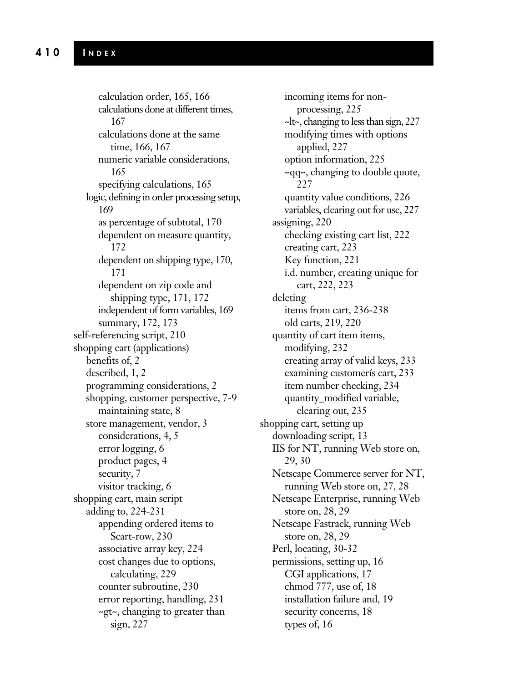calculation order, 165, 166 calculations done at different times, 167 calculations done at the same time, 166, 167 numeric variable considerations, 165 specifying calculations, 165 logic, defining in order processing setup, 169 as percentage of subtotal, 170 dependent on measure quantity, 172 dependent on shipping type, 170, 171 dependent on zip code and shipping type, 171, 172 independent of form variables, 169 summary, 172, 173 self-referencing script, 210 shopping cart (applications) benefits of, 2 described, 1, 2 programming considerations, 2 shopping, customer perspective, 7-9 maintaining state, 8 store management, vendor, 3 considerations, 4, 5 error logging, 6 product pages, 4 security, 7 visitor tracking, 6 shopping cart, main script adding to, 224-231 appending ordered items to \$cart-row, 230 associative array key, 224 cost changes due to options, calculating, 229 counter subroutine, 230 error reporting, handling, 231 ~gt~, changing to greater than sign, 227

incoming items for nonprocessing, 225 ~lt~, changing to less than sign, 227 modifying times with options applied, 227 option information, 225 ~qq~, changing to double quote, 227 quantity value conditions, 226 variables, clearing out for use, 227 assigning, 220 checking existing cart list, 222 creating cart, 223 Key function, 221 i.d. number, creating unique for cart, 222, 223 deleting items from cart, 236-238 old carts, 219, 220 quantity of cart item items, modifying, 232 creating array of valid keys, 233 examining customerís cart, 233 item number checking, 234 quantity\_modified variable, clearing out, 235 shopping cart, setting up downloading script, 13 IIS for NT, running Web store on, 29, 30 Netscape Commerce server for NT, running Web store on, 27, 28 Netscape Enterprise, running Web store on, 28, 29 Netscape Fastrack, running Web store on, 28, 29 Perl, locating, 30-32 permissions, setting up, 16 CGI applications, 17 chmod 777, use of, 18 installation failure and, 19 security concerns, 18 types of, 16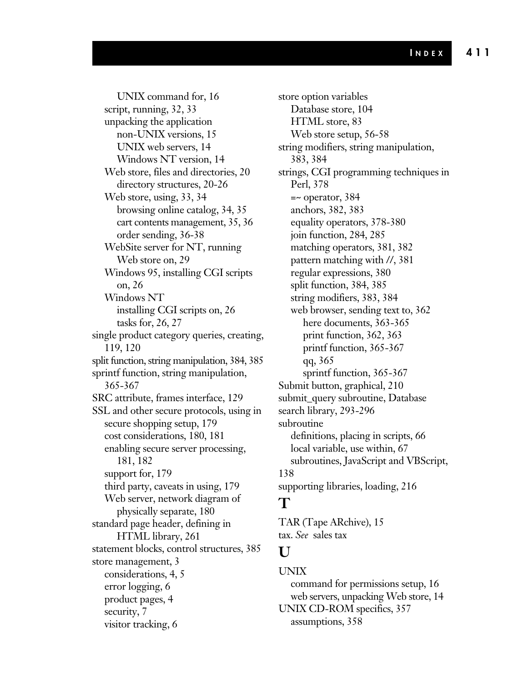UNIX command for, 16 script, running, 32, 33 unpacking the application non-UNIX versions, 15 UNIX web servers, 14 Windows NT version, 14 Web store, files and directories, 20 directory structures, 20-26 Web store, using, 33, 34 browsing online catalog, 34, 35 cart contents management, 35, 36 order sending, 36-38 WebSite server for NT, running Web store on, 29 Windows 95, installing CGI scripts on, 26 Windows NT installing CGI scripts on, 26 tasks for, 26, 27 single product category queries, creating, 119, 120 split function, string manipulation, 384, 385 sprintf function, string manipulation, 365-367 SRC attribute, frames interface, 129 SSL and other secure protocols, using in secure shopping setup, 179 cost considerations, 180, 181 enabling secure server processing, 181, 182 support for, 179 third party, caveats in using, 179 Web server, network diagram of physically separate, 180 standard page header, defining in HTML library, 261 statement blocks, control structures, 385 store management, 3 considerations, 4, 5 error logging, 6 product pages, 4 security, 7 visitor tracking, 6

store option variables Database store, 104 HTML store, 83 Web store setup, 56-58 string modifiers, string manipulation, 383, 384 strings, CGI programming techniques in Perl, 378 =~ operator, 384 anchors, 382, 383 equality operators, 378-380 join function, 284, 285 matching operators, 381, 382 pattern matching with //, 381 regular expressions, 380 split function, 384, 385 string modifiers, 383, 384 web browser, sending text to, 362 here documents, 363-365 print function, 362, 363 printf function, 365-367 qq, 365 sprintf function, 365-367 Submit button, graphical, 210 submit\_query subroutine, Database search library, 293-296 subroutine definitions, placing in scripts, 66 local variable, use within, 67 subroutines, JavaScript and VBScript, 138 supporting libraries, loading, 216

## **T**

TAR (Tape ARchive), 15 tax. *See* sales tax

#### **U**

#### UNIX

command for permissions setup, 16 web servers, unpacking Web store, 14 UNIX CD-ROM specifics, 357 assumptions, 358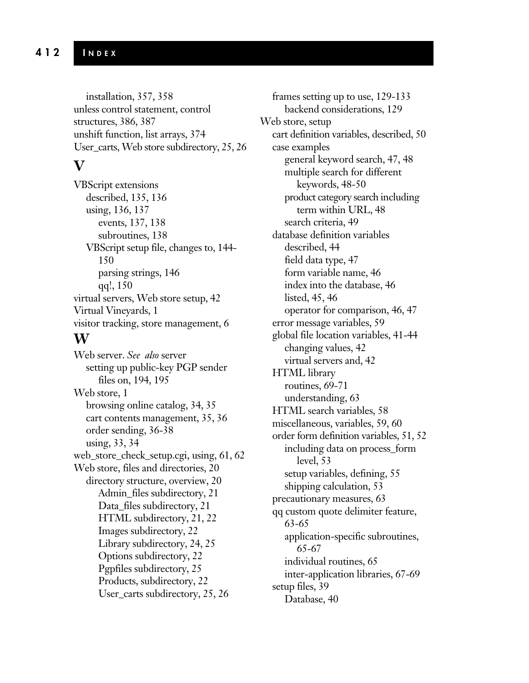installation, 357, 358 unless control statement, control structures, 386, 387 unshift function, list arrays, 374 User\_carts, Web store subdirectory, 25, 26

#### **V**

VBScript extensions described, 135, 136 using, 136, 137 events, 137, 138 subroutines, 138 VBScript setup file, changes to, 144- 150 parsing strings, 146 qq!, 150 virtual servers, Web store setup, 42 Virtual Vineyards, 1 visitor tracking, store management, 6 **W**

Web server. *See also* server setting up public-key PGP sender files on, 194, 195 Web store, 1 browsing online catalog, 34, 35 cart contents management, 35, 36 order sending, 36-38 using, 33, 34 web\_store\_check\_setup.cgi, using, 61, 62 Web store, files and directories, 20 directory structure, overview, 20 Admin\_files subdirectory, 21 Data\_files subdirectory, 21 HTML subdirectory, 21, 22 Images subdirectory, 22 Library subdirectory, 24, 25 Options subdirectory, 22 Pgpfiles subdirectory, 25 Products, subdirectory, 22 User\_carts subdirectory, 25, 26

frames setting up to use, 129-133 backend considerations, 129 Web store, setup cart definition variables, described, 50 case examples general keyword search, 47, 48 multiple search for different keywords, 48-50 product category search including term within URL, 48 search criteria, 49 database definition variables described, 44 field data type, 47 form variable name, 46 index into the database, 46 listed, 45, 46 operator for comparison, 46, 47 error message variables, 59 global file location variables, 41-44 changing values, 42 virtual servers and, 42 HTML library routines, 69-71 understanding, 63 HTML search variables, 58 miscellaneous, variables, 59, 60 order form definition variables, 51, 52 including data on process\_form level, 53 setup variables, defining, 55 shipping calculation, 53 precautionary measures, 63 qq custom quote delimiter feature, 63-65 application-specific subroutines, 65-67 individual routines, 65 inter-application libraries, 67-69 setup files, 39 Database, 40